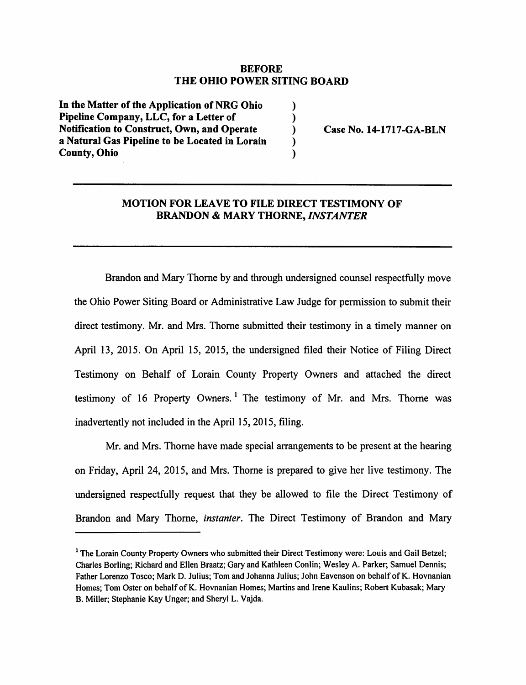#### *BEFORE THE OHIO POWER SITING BOARD*

 $\lambda$  $\mathcal{E}$  $\lambda$  $\lambda$  $\lambda$ 

In the Matter of the Application of NRG Ohio *Pipeline Company, LLC, for a Letter of Notification to Construct, Own, and Operate a Natural Gas Pipeline to be Located in Lorain County, Ohio*

*Case No. 14-1717-GA-BLN*

#### *MOTION FOR LEAVE TO FILE DIRECT TESTIMONY OF BRANDON & MARY THORNE, INSTANTER*

Brandon and Mary Thorne by and through undersigned counsel respectfully move the Ohio Power Siting Board or Administrative Law Judge for permission to submit their direct testimony. Mr. and Mrs. Thorne submitted their testimony in a timely manner on April 13, 2015. On April 15, 2015, the undersigned filed their Notice of Filing Direct Testimony on Behalf of Lorain County Property Owners and attached the direct testimony of 16 Property Owners. ' The testimony of Mr. and Mrs. Thorne was inadvertently not included in the April 15, 2015, filing.

Mr. and Mrs. Thorne have made special arrangements to be present at the hearing on Friday, April 24, 2015, and Mrs. Thorne is prepared to give her live testimony. The undersigned respectfully request that they be allowed to file the Direct Testimony of Brandon and Mary Thorne, **instanter.** The Direct Testimony of Brandon and Mary

<sup>&</sup>lt;sup>1</sup> The Lorain County Property Owners who submitted their Direct Testimony were: Louis and Gail Betzel; Charles Borling; Richard and Ellen Braatz; Gary and Kathleen Conlin; Wesley A. Parker; Samuel Dennis; Father Lorenzo Tosco; Mark D. Julius; Tom and Johanna Julius; John Eavenson on behalf of K. Hovnanian Homes; Tom Oster on behalf of K. Hovnanian Homes; Martins and Irene Kaulins; Robert Kubasak; Mary B. Miller; Stephanie Kay Unger; and Sheryl L. Vajda.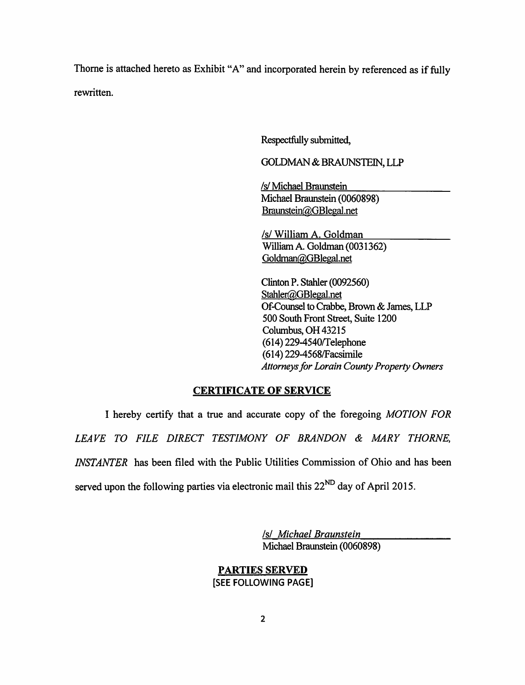Thorne is attached hereto as Exhibit "A" and incorporated herein by referenced as if fully rewritten.

Respectfully submitted,

GOLDMAN & BRAUNSTEIN, LLP

**Isl** Michael Braunstein Michael Braunstein (0060898) Braunstein@GBlegal.net

**Isl** William A. Goldman WilliamA. Goldman (0031362) Goldman@GBlegal.net

Clinton P. Stahler (0092560) Stahler@GBlegal.net Of-Counsel to Crabbe, Brown & James, LLP 500 South Front Street, Suite 1200 Columbus, OH 43215 (614)229-4540/Telephone (614)229-4568/Facsimile **Attorneys for Lorain County Property Owners** 

#### *CERTIFICATE OF SERVICE*

I hereby certify that a true and accurate copy of the foregoing **MOTION FOR LEAVE TO FILE DIRECT TESTIMONY OF BRANDON & MARY THORNE, INSTANTER** has been filed with the Public Utilities Commission of Ohio and has been served upon the following parties via electronic mail this  $22^{ND}$  day of April 2015.

> **Isl Michael Braunstein** Michael Braunstein (0060898)

## *PARTIES SERVED [SEE FOLLOWING PAGE)*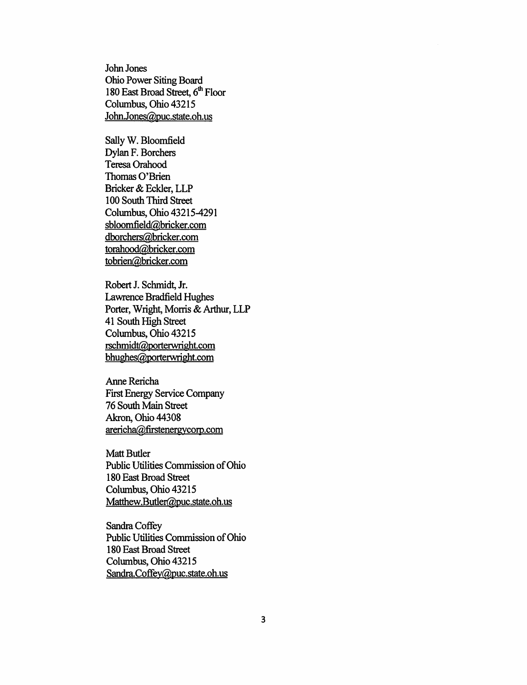*John Jones Ohio Power Siting Board 180 East Broad Street, 6th Floor Columbus, Ohio 43215 JoIm.Jones@puc.state.oh.us*

*SallyW.Bloomfield Dylan F. Borchers Teresa Orahood Thomas O'Brien Bricker&Eckler,LLP 100 South Third Street Columbus, Ohio 43215-4291 sbloomfield@bricker.com dborchers@frricker.com torahood@bricker.com tobrien@bricker.com*

*Robert J. Schmidt, Jr.* Lawrence Bradfield Hughes *Porter, Wright, Morris & Arthur, LLP 41 South High Street Columbus, Ohio 43215*  $rschmidt@porterwright.com$ *bhughes@porterwright.com*

*Anne Rericha First Energy Service Company 76 South Main Street Akron, Ohio 44308 arericha@firstenergycorp.com*

*Matt Butler Public Utilities Commission ofOhio 180 East Broad Street Columbus, Ohio 43215 Matthew.Bufler@puc.state.oh.us*

*SandraCoffey Public Utilities Commission ofOhio 180 East Broad Street Columbus, Ohio 43215 Sandra.Coffev@puc.state.oh.us*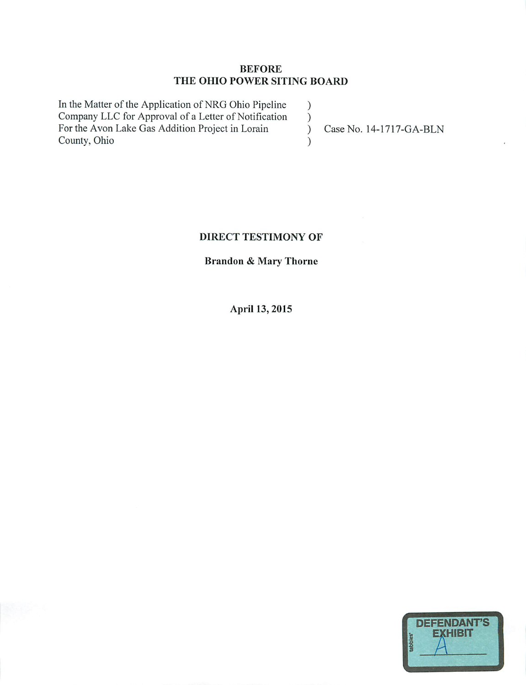### *BEFORE THE OHIO POWER SITING BOARD*

In the Matter of the Application of NRG Ohio Pipeline ) Company LLC for Approval of a Letter of Notification )<br>For the Avon Lake Gas Addition Project in Lorain For the Avon Lake Gas Addition Project in Lorain (Case No. 14-1717-GA-BLN) County, Ohio )

## *DIRECT TESTIMONY OF*

# *Brandon & Mary Thorne*

*April 13, 2015*

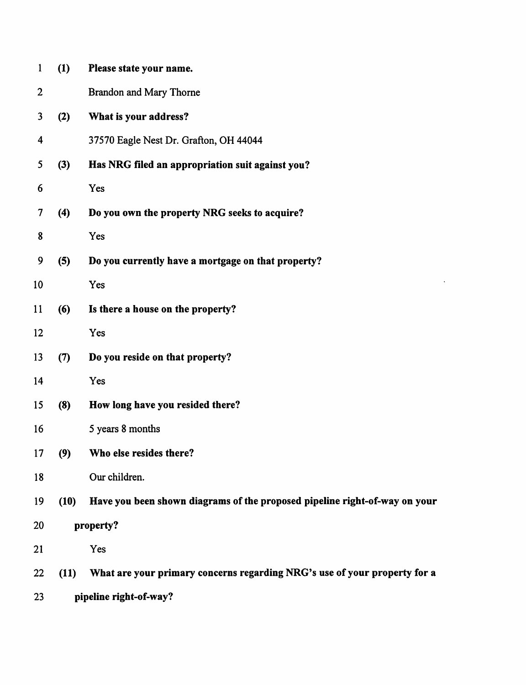| 1                | (1)                    | Please state your name.                                                    |  |
|------------------|------------------------|----------------------------------------------------------------------------|--|
| $\overline{2}$   |                        | Brandon and Mary Thorne                                                    |  |
| 3                | (2)                    | What is your address?                                                      |  |
| 4                |                        | 37570 Eagle Nest Dr. Grafton, OH 44044                                     |  |
| 5                | (3)                    | Has NRG filed an appropriation suit against you?                           |  |
| 6                |                        | Yes                                                                        |  |
| $\boldsymbol{7}$ | (4)                    | Do you own the property NRG seeks to acquire?                              |  |
| 8                |                        | Yes                                                                        |  |
| 9                | (5)                    | Do you currently have a mortgage on that property?                         |  |
| 10               |                        | Yes                                                                        |  |
| 11               | (6)                    | Is there a house on the property?                                          |  |
| 12               |                        | Yes                                                                        |  |
| 13               | (7)                    | Do you reside on that property?                                            |  |
| 14               |                        | Yes                                                                        |  |
| 15               | (8)                    | How long have you resided there?                                           |  |
| 16               |                        | 5 years 8 months                                                           |  |
| 17               | (9)                    | Who else resides there?                                                    |  |
| 18               |                        | Our children.                                                              |  |
| 19               | (10)                   | Have you been shown diagrams of the proposed pipeline right-of-way on your |  |
| 20               | property?              |                                                                            |  |
| 21               |                        | Yes                                                                        |  |
| 22               | (11)                   | What are your primary concerns regarding NRG's use of your property for a  |  |
| 23               | pipeline right-of-way? |                                                                            |  |

 $\sim 10^{11}$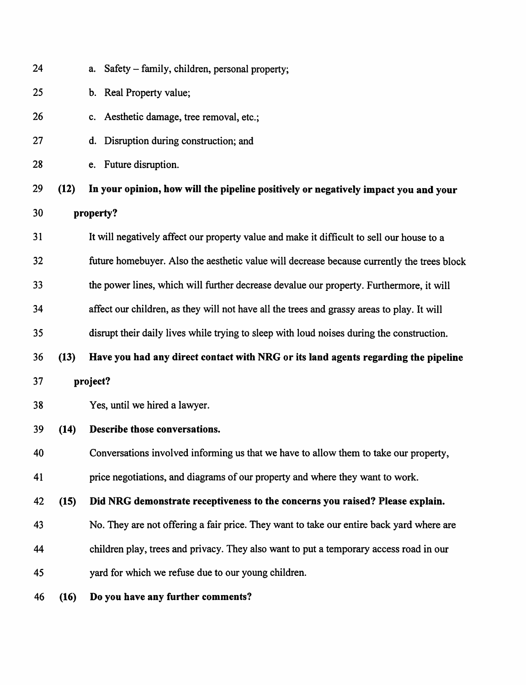| 24 |      | a. Safety – family, children, personal property;                                           |
|----|------|--------------------------------------------------------------------------------------------|
| 25 |      | b. Real Property value;                                                                    |
| 26 |      | c. Aesthetic damage, tree removal, etc.;                                                   |
| 27 |      | Disruption during construction; and<br>d.                                                  |
| 28 |      | e. Future disruption.                                                                      |
| 29 | (12) | In your opinion, how will the pipeline positively or negatively impact you and your        |
| 30 |      | property?                                                                                  |
| 31 |      | It will negatively affect our property value and make it difficult to sell our house to a  |
| 32 |      | future homebuyer. Also the aesthetic value will decrease because currently the trees block |
| 33 |      | the power lines, which will further decrease devalue our property. Furthermore, it will    |
| 34 |      | affect our children, as they will not have all the trees and grassy areas to play. It will |
| 35 |      | disrupt their daily lives while trying to sleep with loud noises during the construction.  |
| 36 | (13) | Have you had any direct contact with NRG or its land agents regarding the pipeline         |
| 37 |      | project?                                                                                   |
| 38 |      | Yes, until we hired a lawyer.                                                              |
| 39 | (14) | Describe those conversations.                                                              |
| 40 |      | Conversations involved informing us that we have to allow them to take our property,       |
| 41 |      | price negotiations, and diagrams of our property and where they want to work.              |
| 42 | (15) | Did NRG demonstrate receptiveness to the concerns you raised? Please explain.              |
| 43 |      | No. They are not offering a fair price. They want to take our entire back yard where are   |
| 44 |      | children play, trees and privacy. They also want to put a temporary access road in our     |
| 45 |      | yard for which we refuse due to our young children.                                        |
| 46 | (16) | Do you have any further comments?                                                          |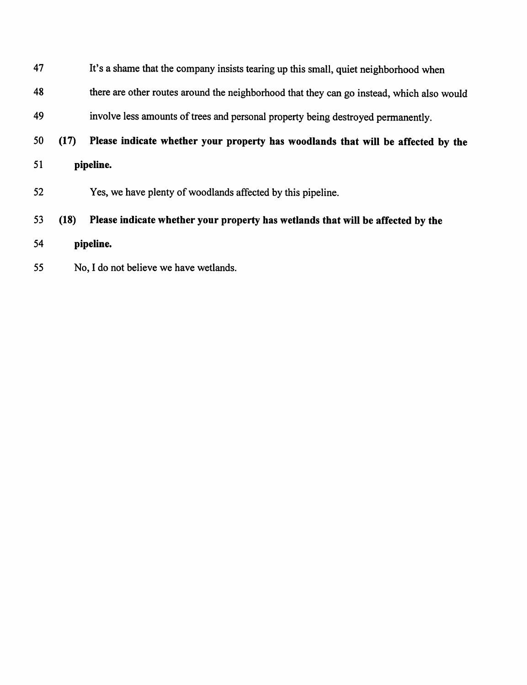| 47 |           | It's a shame that the company insists tearing up this small, quiet neighborhood when      |  |
|----|-----------|-------------------------------------------------------------------------------------------|--|
| 48 |           | there are other routes around the neighborhood that they can go instead, which also would |  |
| 49 |           | involve less amounts of trees and personal property being destroyed permanently.          |  |
| 50 | (17)      | Please indicate whether your property has woodlands that will be affected by the          |  |
| 51 | pipeline. |                                                                                           |  |
| 52 |           | Yes, we have plenty of woodlands affected by this pipeline.                               |  |
| 53 | (18)      | Please indicate whether your property has wetlands that will be affected by the           |  |
| 54 | pipeline. |                                                                                           |  |
| 55 |           | No, I do not believe we have wetlands.                                                    |  |